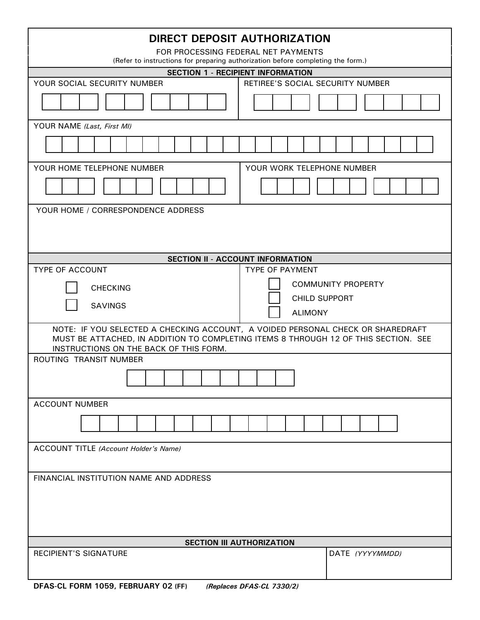| DIRECT DEPOSIT AUTHORIZATION                                                                                                  |                                  |
|-------------------------------------------------------------------------------------------------------------------------------|----------------------------------|
| FOR PROCESSING FEDERAL NET PAYMENTS<br>(Refer to instructions for preparing authorization before completing the form.)        |                                  |
| <b>SECTION 1 - RECIPIENT INFORMATION</b>                                                                                      |                                  |
| YOUR SOCIAL SECURITY NUMBER                                                                                                   | RETIREE'S SOCIAL SECURITY NUMBER |
|                                                                                                                               |                                  |
| YOUR NAME (Last, First MI)                                                                                                    |                                  |
|                                                                                                                               |                                  |
| YOUR HOME TELEPHONE NUMBER<br>YOUR WORK TELEPHONE NUMBER                                                                      |                                  |
|                                                                                                                               |                                  |
| YOUR HOME / CORRESPONDENCE ADDRESS                                                                                            |                                  |
|                                                                                                                               |                                  |
|                                                                                                                               |                                  |
| <b>SECTION II - ACCOUNT INFORMATION</b>                                                                                       |                                  |
| <b>TYPE OF ACCOUNT</b><br><b>TYPE OF PAYMENT</b>                                                                              |                                  |
| <b>CHECKING</b>                                                                                                               | <b>COMMUNITY PROPERTY</b>        |
|                                                                                                                               | <b>CHILD SUPPORT</b>             |
| <b>SAVINGS</b><br><b>ALIMONY</b>                                                                                              |                                  |
| NOTE: IF YOU SELECTED A CHECKING ACCOUNT, A VOIDED PERSONAL CHECK OR SHAREDRAFT                                               |                                  |
| MUST BE ATTACHED, IN ADDITION TO COMPLETING ITEMS 8 THROUGH 12 OF THIS SECTION. SEE<br>INSTRUCTIONS ON THE BACK OF THIS FORM. |                                  |
| ROUTING TRANSIT NUMBER                                                                                                        |                                  |
|                                                                                                                               |                                  |
|                                                                                                                               |                                  |
| <b>ACCOUNT NUMBER</b>                                                                                                         |                                  |
|                                                                                                                               |                                  |
|                                                                                                                               |                                  |
| ACCOUNT TITLE (Account Holder's Name)                                                                                         |                                  |
|                                                                                                                               |                                  |
| FINANCIAL INSTITUTION NAME AND ADDRESS                                                                                        |                                  |
|                                                                                                                               |                                  |
|                                                                                                                               |                                  |
|                                                                                                                               |                                  |
|                                                                                                                               |                                  |
| <b>SECTION III AUTHORIZATION</b>                                                                                              |                                  |
| <b>RECIPIENT'S SIGNATURE</b>                                                                                                  | DATE (YYYYMMDD)                  |
|                                                                                                                               |                                  |